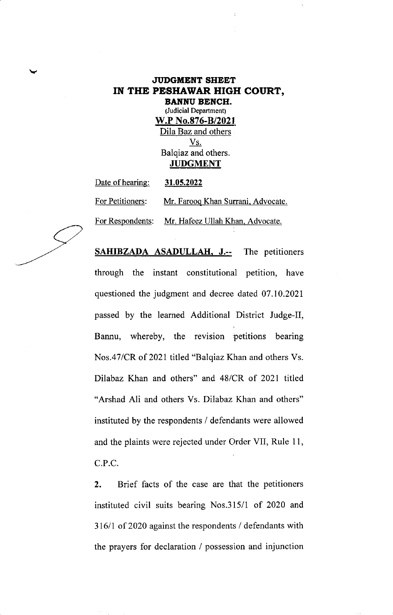## JUDGMENT SHEET IN THE PESHAWAR HIGH COURT,

BANNU BENCH. (Judicial Department) W.P No.876-B/2021 Dila Baz and others Vs. Balqiaz and others. **JUDGMENT** 

Date of hearing: 31.05.2022 For Petitioners: Mr. Farooq Khan Surrani, Advocate. For Respondents: Mr. Hafeez Ullah Khan. Advocate.

SAHIBZADA ASADULLAH, J.-- The petitioners through the instant constitutional petition, have questioned the judgment and decree dated 07.10.2021 passed by the learned Additional District Judge-II, Bannu, whereby, the revision petitions bearing Nos.47/CR of 2021 titled "Balqiaz Khan and others Vs. Dilabaz Khan and others" and 48/CR of 2021 titled "Arshad Ali and others Vs. Dilabaz Khan and others" instituted by the respondents / defendants were allowed and the plaints were rejected under Order VII, Rule 11, C.P.C

2. Brief facts of the case are that the petitioners instituted civil suits bearing Nos.315/1 of 2020 and 316/1 of 2020 against the respondents / defendants with the prayers for declaration / possession and injunction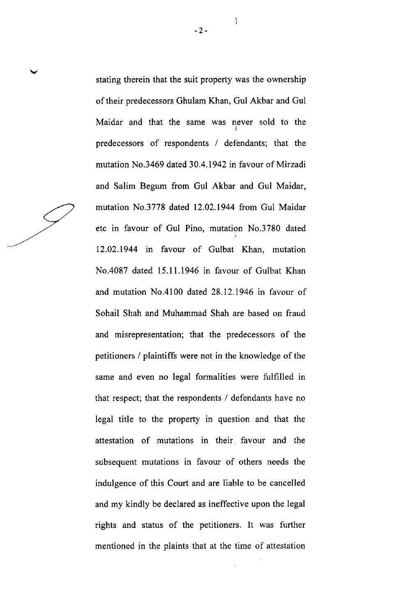stating therein that the suit property was the ownership of their predecessors Ghulam Khan, Gul Akbar and Gul Maidar and that the same was never sold to the predecessors of respondents / defendants; that the mutation No.3469 dated 30.4.1942 in favour of Mirzadi and Salim Begum from Gul Akbar and Gul Maidar, mutation No.3778 dated 12.02.1944 from Gul Maidar etc in favour of Gul Pino, mutation No.3780 dated 12.02.1944 in favour of Gulbat Khan, mutation No.4087 dated 15.11,1946 in favour of Gulbat Khan and mutation No.4l00 dated 28.12.1946 in favour of Sohail Shah and Muhammad Shah are based on fraud and misrepresentation; that the predecessors of the petitioners / plaintiffs were not in the knowledge of the same and even no legal formalities were fulfilled in that respect; that the respondents / defendants have no legal title to the property in question and that the attestation of mutations in their favour and the subsequent mutations in favour of others needs the indulgence of this Court and are liable to be cancelled and my kindly be declared as ineffective upon the legal rights and status of the petitioners. It was further mentioned in the plaints that at the time of attestation

2-

Ĵ.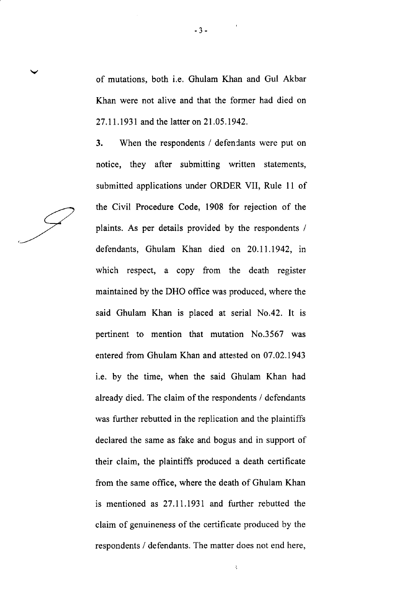of mutations, both i.e. Ghulam Khan and Gul Akbar Khan were not alive and that the former had died on <sup>27</sup>.ll .1931 and the latter on 2l .05.1942.

3. When the respondents / defendants were put on notice, they after submitting written statements, submitted applications under ORDER VII, Rule 11 of the Civil Procedure Code, 1908 for rejection of the plaints. As per details provided by the respondents / defendants, Ghulam Khan died on 20.11.1942, in which respect, a copy from the death register maintained by the DHO office was produced, where the said Ghulam Khan is placed at serial No.42. It is pertinent to mention that mutation No.3567 was entered from Ghulam Khan and attested on 07.02.1943 i.e. by the time, when the said Ghulam Khan had already died. The claim of the respondents / defendants was further rebutted in the replication and the plaintiffs declared the same as fake and bogus and in support of their claim, the plaintiffs produced a death certificate from the same office, where the death of Ghulam Khan is mentioned as 27.11.1931 and further rebutted the claim of genuineness of the cenificate produced by the respondents / defendants. The matter does not end here,

 $\hat{\mathcal{K}}$ 

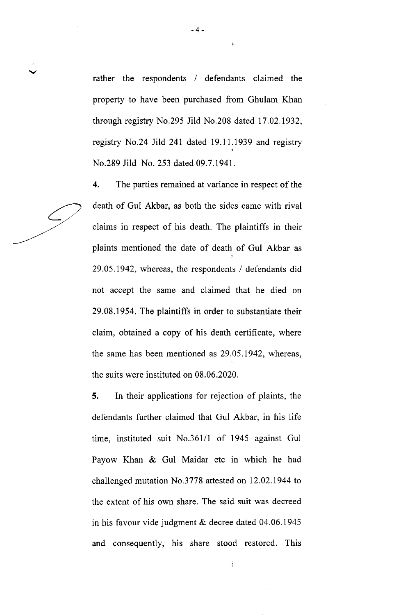rather the respondents / defendants claimed the property to have been purchased from Ghulam Khan through registry No.295 Jild No.208 dated 17.02.1932, registry No.24 Jild 241 dated 19.11.1939 and registry No.289 Jild No. 253 dated 09.7.1941.

4. The parties remained at variance in respect of the death of Gul Akbar, as both the sides came with rival claims in respect of his death. The plaintiffs in their plaints mentioned the date of death of Gul Akbar as 29.05.1942, whereas, the respondents / defendants did not accept the same and claimed that he died on 29.08.1954. The plaintiffs in order to substantiate their claim, obtained a copy of his death certihcate, where the same has been mentioned as 29,05.1942, whereas, the suits were instituted on 08.06.2020.

5. In their applications for rejection of plaints, the defendants further claimed that Gul Akbar, in his life time, instituted suit No.361/1 of 1945 against Gul Payow Khan & Gul Maidar etc in which he had challenged mutation No.3778 attested on 12.02.1944 to the extent of his own share. The said suit was decreed in his favour vide judgment & decree dated 04.06.1945 and consequently, his share stood restored. This

ì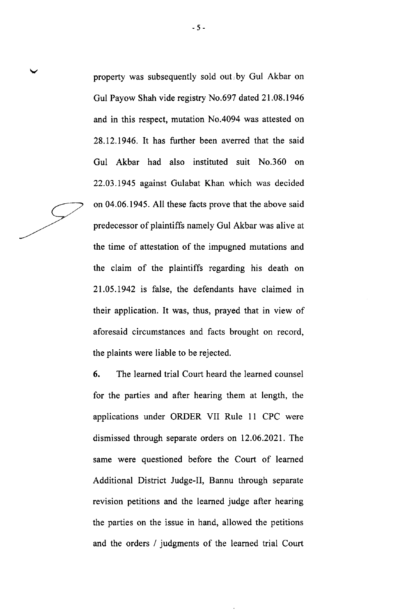$-5 -$ 

property was subsequently sold out, by Gul Akbar on Gul Payow Shah vide registry No.697 dated 21.08.1946 and in this respect, mutation No.4094 was attested on 28.12.1946. It has further been averred that the said Gul Akbar had also instituted suit No.360 on 22.03.1945 against Gulabat Khan which was decided on 04.06.1945. All these facts prove that the above said predecessor of plaintiffs namely Gul Akbar was alive at the time of attestation of the impugned mutations and the claim of the plaintiffs regarding his death on 21.05.1942 is false, the defendants have claimed in their application. It was, thus, prayed that in view of aforesaid circumstances and facts brought on record, the plaints were liable to be rejected.

6. The learned trial Court heard the leamed counsel for the parties and after hearing them at length, the applications under ORDER VII Rule 11 CPC were dismissed through separate orders on 12.06.2021. The same were questioned before the Court of learned Additional District Judge-II, Bannu through separate revision petitions and the learned judge after hearing the parties on the issue in hand, allowed the petitions and the orders / judgments of the learned trial Court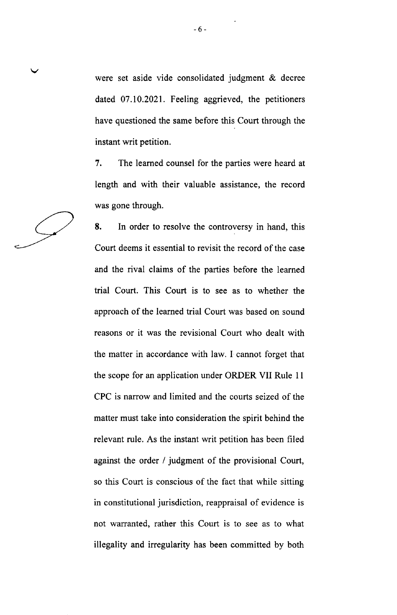were set aside vide consolidated judgment & decree dated 07.10.2021. Feeling aggrieved, the petitioners have questioned the same before this Court through the instant writ petition.

7. The learned counsel for the parties were heard at length and with their valuable assistance, the record was gone through.

8. In order to resolve the controversy in hand, this Court deems it essential to revisit the record of the case and the rival claims of the parties before the learned trial Court. This Court is to see as to whether the approach of the learned trial Court was based on sound reasons or it was the revisional Court who dealt with the matter in accordance with law. I cannot forget that the scope for an application under ORDER VII Rule <sup>11</sup> CPC is narrow and limited and the courts seized of the matter must take into consideration the spirit behind the relevant rule. As the instant writ petition has been filed against the order / judgment of the provisional Court, so this Court is conscious of the fact that while sitting in constitutional jurisdiction, reappraisal of evidence is not warranted, rather this Court is to see as to what illegality and irregularity has been committed by both

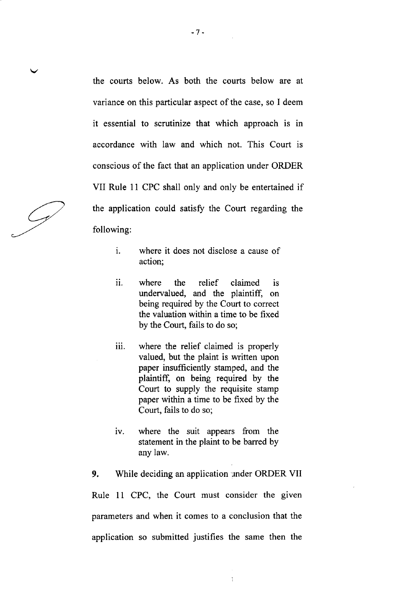the courts below. As both the courts below are at variance on this particular aspect of the case, so I deem it essential to scrutinize that which approach is in accordance with law and which not. This Court is conscious of the fact that an application under ORDER VII Rule 11 CPC shall only and only be entertained if the application could satisfy the Court regarding the following:

- where it does not disclose a cause of action; i.
- ii. where the relief claimed is undervalued, and the plaintiff, on being required by the Court to correct the valuation within a time to be fixed by the Court, fails to do so;
- iii. where the relief claimed is properly valued, but the plaint is written upon paper insufficiently stamped, and the plaintiff, on being required by the Court to supply the requisite stamp paper within a time to be fixed by the Court, fails to do so;
- iv. where the suit appears from the statement in the plaint to be barred by any law.

9. While deciding an application under ORDER VII Rule 11 CPC, the Court must consider the given parameters and when it comes to a conclusion that the application so submitted justifies the same then the

Ğ.

 $\mathcal{L}_{\mathscr{I}}$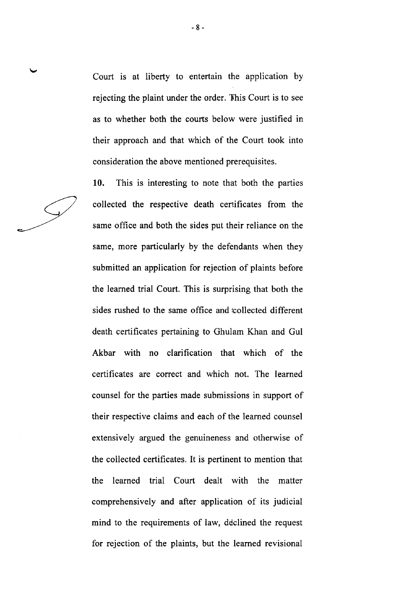Court is at liberty to entertain the application by rejecting the plaint under the order. This Court is to see as to whether both the courts below were justified in their approach and that which of the Court took into consideration the above mentioned prerequisites.

10. This is interesting to note that both the parties collected the respective death certificates from the same office and both the sides put their reliance on the same, more particularly by the defendants when they submitted an application for rejection of plaints before the learned trial Court. This is surprising that both the sides rushed to the same office and icollected different death certificates pertaining to Ghulam Khan and Gul Akbar with no clarification that which of the certificates are correct and which not. The learned counsel for the parties made submissions in support of their respective claims and each of the learned counsel extensively argued the genuineness and otherwise of the collected certificates. It is pertinent to mention that the learned trial Court dealt with the matter comprehensively and after application of its judicial mind to the requirements of law, declined the request for rejection of the plaints, but the leamed revisional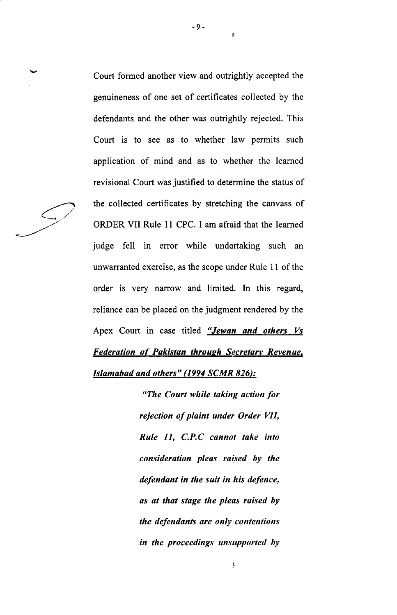Court formed another view and outrightly accepted the genuineness of one set of certificates collected by the defendants and the other was outrightly rejected. This Court is to see as to whether law permits such application of mind and as to whether the learned revisional Court was justified to determine the status of the collected certificates by stretching the canvass of ORDER VII Rule 11 CPC. I am afraid that the learned judge fell in error while undertaking such an unwarranted exercise, as the scope under Rule l1 of the order is very narrow and limited. In this regard, reliance can be placed on the judgment rendered by the Apex Court in case titled "Jewan and others Vs Federation of Pakistan through Secretary Revenue, Islamabad and others" (1994 SCMR 826):

> "The Court while taking action for rejection of plaint under Order VII, Rule 11, C.P.C cannot take into consideration pleas raised by the defendant in the suit in his defence, as at that stage the pleas raised by the defendants are only contentions in the proceedings unsupported by



I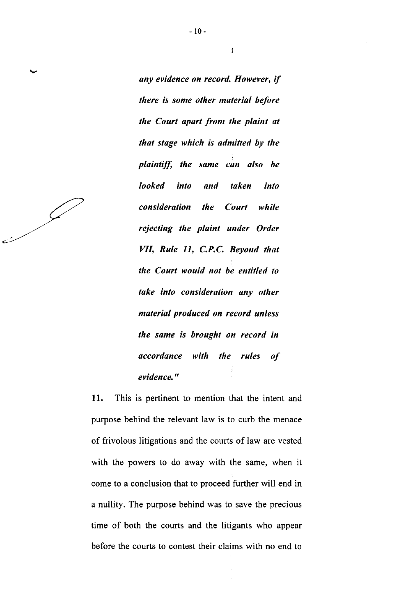any evidence on record. However, if there is some other material before the Court apart from the plaint at that stage which is admitted by the plaintiff, the same can also be looked into and taken into consideration the Court while rejecting the plaint under Order VII, Rule 11, C.P.C. Beyond that the Court would not be entitled to take into consideration any other material produced on record unless the same is brought on record in accordance with the rules of evidence."

11. This is pertinent to mention that the intent and purpose behind the relevant law is to curb the menace of frivolous litigations and the courts of law are vested with the powers to do away with the same, when it come to a conclusion that to proceed further will end in a nullity. The purpose behind was to save the precious time of both the courts and the litigants who appear before the courts to contest their claims with no end to

 $\frac{1}{2}$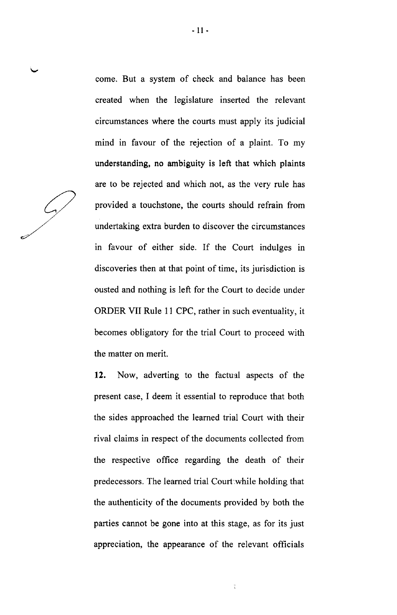come. But a system of check and balance has been created when the legislature inserted the relevant circumstances where the courts must apply its judicial mind in favour of the rejection of a plaint. To my understanding, no ambiguity is left that which plaints are to be rejected and which not, as the very rule has provided a touchstone, the courts should refrain from undertaking extra burden to discover the circumstances in favour of either side. If the Court indulges in discoveries then at that point of time, its jurisdiction is ousted and nothing is left for the Court to decide under ORDER VII Rule 11 CPC, rather in such eventuality, it becomes obligatory for the trial Court to proceed with the matter on merit.

12. Now, adverting to the factual aspects of the present case, I deem it essential to reproduce that both the sides approached the leamed trial Court with their rival claims in respect of the documents collected from the respective office regarding the death of their predecessors. The learned trial Court while holding that the authenticity of the documents provided by both the parties cannot be gone into at this stage, as for its just appreciation, the appearance of the relevant officials

 $\ddot{\cdot}$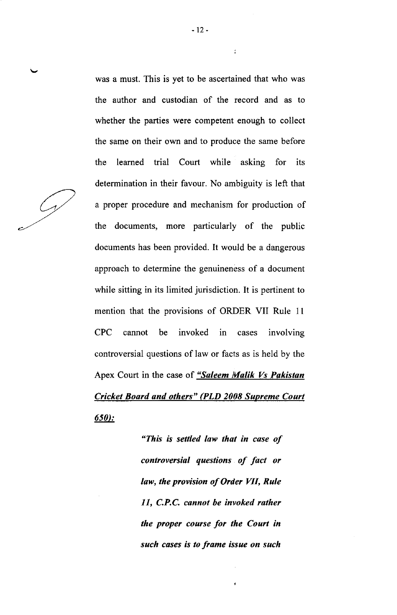was a must. This is yet to be ascertained that who was the author and custodian of the record and as to whether the parties were competent enough to collect the same on their own and to produce the same before the learned trial Court while asking for its determination in their favour. No ambiguity is left that a proper procedure and mechanism for production of the documents, more particularly of the public documents has been provided. It would be a dangerous approach to determine the genuineness of a document while sitting in its limited jurisdiction. It is pertinent to mention that the provisions of ORDER VII Rule 1l CPC cannot be invoked in cases involving controversial questions of law or facts as is held by the Apex Court in the case of "Saleem Malik Vs Pakistan" Cricket Board and others" (PLD 2008 Supreme Court 650:

> "This is settled law that in case of controversial questions of fact or law, the provision of Order WI, Rule 11, C.P.C. cannot be invoked rather the proper course for the Court in such cases is to frame issue on such

ž.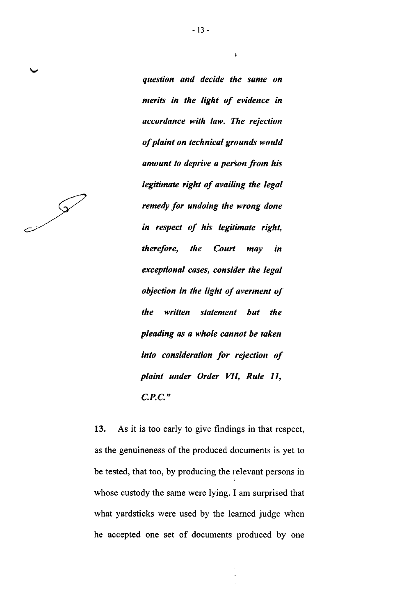Jeremia de la Carte de la Carte de la Carte de la Carte de la Carte de la Carte de la Carte de la Carte de la Carte de la Carte de la Carte de la Carte de la Carte de la Carte de la Carte de la Carte de la Carte de la Cart

question and decide the same on merits in the light of evidence in accordance with law. The rejection of plaint on technical grounds would amount to deprive a person from his legitimate right of availing the legal remedy for undoing the wrong done in respect of his legitimate right, therefore, the Court may in exceptional cases, consider the legal objection in the light of averment of the written statement but the pleading as a whole cannot be taken into consideration for rejection of plaint under Order WI, Rule 11, C.P.C."

13. As it is too early to give findings in that respect, as the genuineness of the produced documents is yet to be tested, that too, by producing the relevant persons in whose custody the same were lying. I am surprised that what yardsticks were used by the learned judge when he accepted one set of documents produced by one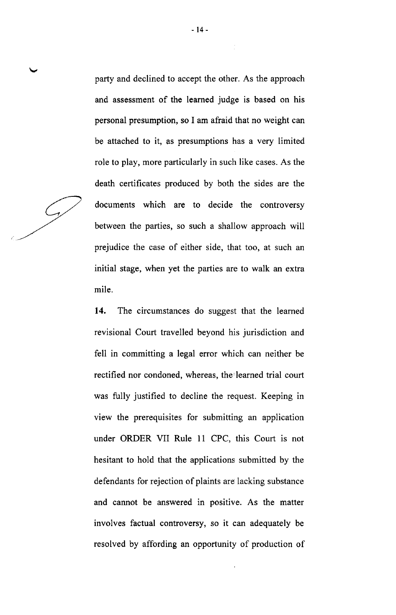party and declined to accept the other. As the approach and assessment of the learned judge is based on his personal presumption, so I am afraid that no weight can be attached to it, as presumptions has a very limited role to play, more particularly in such like cases. As the death certificates produced by both the sides are the documents which are to decide the controversy between the parties, so such a shallow approach will prejudice the case of either side, that too, at such an initial stage, when yet the parties are to walk an extra mile.

14. The circumstances do suggest that the leamed revisional Court travelled beyond his jurisdiction and fell in committing a legal error which can neither be rectified nor condoned, whereas, the learned trial court was fully justified to decline the request. Keeping in view the prerequisites for submitting an application under ORDER VII Rule 11 CPC, this Court is not hesitant to hold that the applications submitted by the defendants for rejection of plaints are lacking substance and cannot be answered in positive. As the matter involves factual controversy, so it can adequately be resolved by affording an opportunity of production of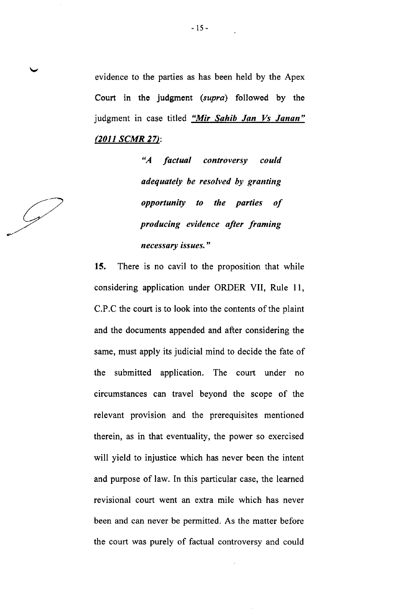evidence to the parties as has been held by the Apex Court in the judgment (supra) followed by the judgment in case titled "Mir Sahib Jan Vs Janan" (2011 SCMR 27):

> "A factual controversy could adequately be resolved by granting opportunity to the parties of producing evidence after framing necessary issues."

 $\mathscr{G}$ 

15. There is no cavil to the proposition that while considering application under ORDER VII, Rule ll, C.P.C the court is to look into the contents of the plaint and the documents appended and after considering the same, must apply its judicial mind to decide the fate of the submitted application. The court under no circumstances can travel beyond the scope of the relevant provision and the prerequisites mentioned therein, as in that eventuality, the power so exercised will yield to injustice which has never been the intent and purpose of law. In this particular case, the learned revisional court went an extra mile which has never been and can never be permitted. As the matter before the court was purely of factual controversy and could